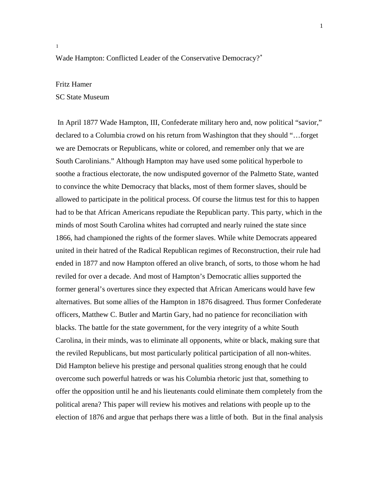[1](#page-14-0)

## Wade Hampton: Conflicted Leader of the Conservative Democracy?<sup>\*</sup>

## Fritz Hamer

SC State Museum

<span id="page-0-0"></span> In April 1877 Wade Hampton, III, Confederate military hero and, now political "savior," declared to a Columbia crowd on his return from Washington that they should "…forget we are Democrats or Republicans, white or colored, and remember only that we are South Carolinians." Although Hampton may have used some political hyperbole to soothe a fractious electorate, the now undisputed governor of the Palmetto State, wanted to convince the white Democracy that blacks, most of them former slaves, should be allowed to participate in the political process. Of course the litmus test for this to happen had to be that African Americans repudiate the Republican party. This party, which in the minds of most South Carolina whites had corrupted and nearly ruined the state since 1866, had championed the rights of the former slaves. While white Democrats appeared united in their hatred of the Radical Republican regimes of Reconstruction, their rule had ended in 1877 and now Hampton offered an olive branch, of sorts, to those whom he had reviled for over a decade. And most of Hampton's Democratic allies supported the former general's overtures since they expected that African Americans would have few alternatives. But some allies of the Hampton in 1876 disagreed. Thus former Confederate officers, Matthew C. Butler and Martin Gary, had no patience for reconciliation with blacks. The battle for the state government, for the very integrity of a white South Carolina, in their minds, was to eliminate all opponents, white or black, making sure that the reviled Republicans, but most particularly political participation of all non-whites. Did Hampton believe his prestige and personal qualities strong enough that he could overcome such powerful hatreds or was his Columbia rhetoric just that, something to offer the opposition until he and his lieutenants could eliminate them completely from the political arena? This paper will review his motives and relations with people up to the election of 1876 and argue that perhaps there was a little of both. But in the final analysis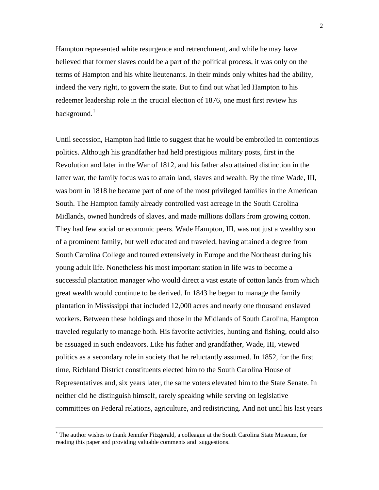Hampton represented white resurgence and retrenchment, and while he may have believed that former slaves could be a part of the political process, it was only on t he terms of Hampton and his white lieutenants. In their minds only whites had the ability , indeed the very right, to govern the state. But to find out what led Hampton to his redeemer leadership role in the crucial election of 1876, one must first review his background.<sup>[1](#page-14-1)</sup>

Until secession, Hampton had little to suggest that he would be embroiled in contentious Revolution and later in the War of 1812, and his father also attained distinction in the latter war, the family focus was to attain land, slaves and wealth. By the time Wade, III, Midlands, owned hundreds of slaves, and made millions dollars from growing cotton. successful plantation manager who would direct a vast estate of cotton lands from which plantation in Mississippi that included 12,000 acres and nearly one thousand enslaved workers. Between these holdings and those in the Midlands of South Carolina, Hampton politics as a secondary role in society that he reluctantly assumed. In 1852, for the first Representatives and, six years later, the same voters elevated him to the State Senate. In committees on Federal relations, agriculture, and redistricting. And not until his last years politics. Although his grandfather had held prestigious military posts, first in the was born in 1818 he became part of one of the most privileged families in the American South. The Hampton family already controlled vast acreage in the South Carolina They had few social or economic peers. Wade Hampton, III, was not just a wealthy son of a prominent family, but well educated and traveled, having attained a degree from South Carolina College and toured extensively in Europe and the Northeast during his young adult life. Nonetheless his most important station in life was to become a great wealth would continue to be derived. In 1843 he began to manage the family traveled regularly to manage both. His favorite activities, hunting and fishing, could also be assuaged in such endeavors. Like his father and grandfather, Wade, III, viewed time, Richland District constituents elected him to the South Carolina House of neither did he distinguish himself, rarely speaking while serving on legislative

 $\overline{a}$ 

<sup>∗</sup> The author wishes to thank Jennifer Fitzgerald, a colleague at the South Carolina State Museum, for reading this paper and providing valuable comments and suggestions.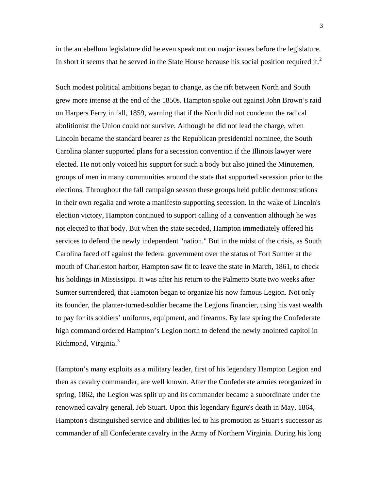in the antebellum legislature did he even speak out on major issues before the legislature. In short it seems that he served in the State House because his social position required it.<sup>[2](#page-14-1)</sup>

Such modest political ambitions began to change, as the rift between North and South grew more intense at the end of the 1850s. Hampton spoke out against John Brown's raid on Harpers Ferry in fall, 1859, warning that if the North did not condemn the radical abolitionist the Union could not survive. Although he did not lead the charge, when Lincoln became the standard bearer as the Republican presidential nominee, the South Carolina planter supported plans for a secession convention if the Illinois lawyer were elected. He not only voiced his support for such a body but also joined the Minutemen, groups of men in many communities around the state that supported secession prior to the elections. Throughout the fall campaign season these groups held public demonstrations in their own regalia and wrote a manifesto supporting secession. In the wake of Lincoln's election victory, Hampton continued to support calling of a convention although he was not elected to that body. But when the state seceded, Hampton immediately offered his services to defend the newly independent "nation." But in the midst of the crisis, as South Carolina faced off against the federal government over the status of Fort Sumter at the mouth of Charleston harbor, Hampton saw fit to leave the state in March, 1861, to check his holdings in Mississippi. It was after his return to the Palmetto State two weeks after Sumter surrendered, that Hampton began to organize his now famous Legion. Not only its founder, the planter-turned-soldier became the Legions financier, using his vast wealth to pay for its soldiers' uniforms, equipment, and firearms. By late spring the Confederate high command ordered Hampton's Legion north to defend the newly anointed capitol in Richmond, Virginia.<sup>[3](#page-14-1)</sup>

Hampton's many exploits as a military leader, first of his legendary Hampton Legion and then as cavalry commander, are well known. After the Confederate armies reorganized in spring, 1862, the Legion was split up and its commander became a subordinate under the renowned cavalry general, Jeb Stuart. Upon this legendary figure's death in May, 1864, Hampton's distinguished service and abilities led to his promotion as Stuart's successor as commander of all Confederate cavalry in the Army of Northern Virginia. During his long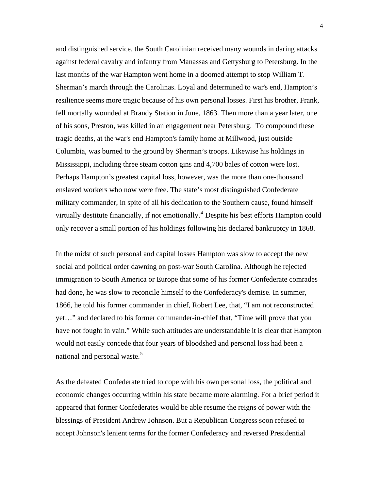and distinguished service, the South Carolinian received many wounds in daring attacks against federal cavalry and infantry from Manassas and Gettysburg to Petersburg. In the last months of the war Hampton went home in a doomed attempt to stop William T. Sherman's march through the Carolinas. Loyal and determined to war's end, Hampton's resilience seems more tragic because of his own personal losses. First his brother, Frank, fell mortally wounded at Brandy Station in June, 1863. Then more than a year later, one of his sons, Preston, was killed in an engagement near Petersburg. To compound these tragic deaths, at the war's end Hampton's family home at Millwood, just outside Columbia, was burned to the ground by Sherman's troops. Likewise his holdings in Mississippi, including three steam cotton gins and 4,700 bales of cotton were lost. Perhaps Hampton's greatest capital loss, however, was the more than one-thousand enslaved workers who now were free. The state's most distinguished Confederate military commander, in spite of all his dedication to the Southern cause, found himself virtually destitute financially, if not emotionally.<sup>[4](#page-14-1)</sup> Despite his best efforts Hampton could only recover a small portion of his holdings following his declared bankruptcy in 1868.

In the midst of such personal and capital losses Hampton was slow to accept the new social and political order dawning on post-war South Carolina. Although he rejected immigration to South America or Europe that some of his former Confederate comrades had done, he was slow to reconcile himself to the Confederacy's demise. In summer, 1866, he told his former commander in chief, Robert Lee, that, "I am not reconstructed yet…" and declared to his former commander-in-chief that, "Time will prove that you have not fought in vain." While such attitudes are understandable it is clear that Hampton would not easily concede that four years of bloodshed and personal loss had been a national and personal waste.<sup>[5](#page-14-1)</sup>

As the defeated Confederate tried to cope with his own personal loss, the political and economic changes occurring within his state became more alarming. For a brief period it appeared that former Confederates would be able resume the reigns of power with the blessings of President Andrew Johnson. But a Republican Congress soon refused to accept Johnson's lenient terms for the former Confederacy and reversed Presidential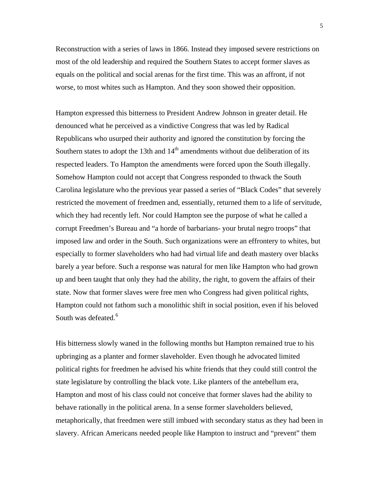Reconstruction with a series of laws in 1866. Instead they imposed severe restrictions on most of the old leadership and required the Southern States to accept former slaves as equals on the political and social arenas for the first time. This was an affront, if not worse, to most whites such as Hampton. And they soon showed their opposition.

Hampton expressed this bitterness to President Andrew Johnson in greater detail. He denounced what he perceived as a vindictive Congress that was led by Radical Republicans who usurped their authority and ignored the constitution by forcing the Southern states to adopt the 13th and  $14<sup>th</sup>$  amendments without due deliberation of its respected leaders. To Hampton the amendments were forced upon the South illegally. Somehow Hampton could not accept that Congress responded to thwack the South Carolina legislature who the previous year passed a series of "Black Codes" that severely restricted the movement of freedmen and, essentially, returned them to a life of servitude, which they had recently left. Nor could Hampton see the purpose of what he called a corrupt Freedmen's Bureau and "a horde of barbarians- your brutal negro troops" that imposed law and order in the South. Such organizations were an effrontery to whites, but especially to former slaveholders who had had virtual life and death mastery over blacks barely a year before. Such a response was natural for men like Hampton who had grown up and been taught that only they had the ability, the right, to govern the affairs of their state. Now that former slaves were free men who Congress had given political rights, Hampton could not fathom such a monolithic shift in social position, even if his beloved South was defeated.<sup>[6](#page-14-1)</sup>

His bitterness slowly waned in the following months but Hampton remained true to his upbringing as a planter and former slaveholder. Even though he advocated limited political rights for freedmen he advised his white friends that they could still control the state legislature by controlling the black vote. Like planters of the antebellum era, Hampton and most of his class could not conceive that former slaves had the ability to behave rationally in the political arena. In a sense former slaveholders believed, metaphorically, that freedmen were still imbued with secondary status as they had been in slavery. African Americans needed people like Hampton to instruct and "prevent" them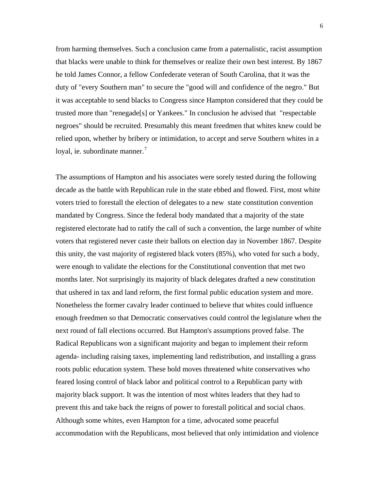from harming themselves. Such a conclusion came from a paternalistic, racist assumption that blacks were unable to think for themselves or realize their own best interest. By 1867 he told James Connor, a fellow Confederate veteran of South Carolina, that it was the duty of "every Southern man" to secure the "good will and confidence of the negro." But it was acceptable to send blacks to Congress since Hampton considered that they could be trusted more than "renegade[s] or Yankees." In conclusion he advised that "respectable negroes" should be recruited. Presumably this meant freedmen that whites knew could be relied upon, whether by bribery or intimidation, to accept and serve Southern whites in a loyal, ie. subordinate manner.<sup>[7](#page-14-1)</sup>

The assumptions of Hampton and his associates were sorely tested during the following decade as the battle with Republican rule in the state ebbed and flowed. First, most white voters tried to forestall the election of delegates to a new state constitution convention mandated by Congress. Since the federal body mandated that a majority of the state registered electorate had to ratify the call of such a convention, the large number of white voters that registered never caste their ballots on election day in November 1867. Despite this unity, the vast majority of registered black voters (85%), who voted for such a body, were enough to validate the elections for the Constitutional convention that met two months later. Not surprisingly its majority of black delegates drafted a new constitution that ushered in tax and land reform, the first formal public education system and more. Nonetheless the former cavalry leader continued to believe that whites could influence enough freedmen so that Democratic conservatives could control the legislature when the next round of fall elections occurred. But Hampton's assumptions proved false. The Radical Republicans won a significant majority and began to implement their reform agenda- including raising taxes, implementing land redistribution, and installing a grass roots public education system. These bold moves threatened white conservatives who feared losing control of black labor and political control to a Republican party with majority black support. It was the intention of most whites leaders that they had to prevent this and take back the reigns of power to forestall political and social chaos. Although some whites, even Hampton for a time, advocated some peaceful accommodation with the Republicans, most believed that only intimidation and violence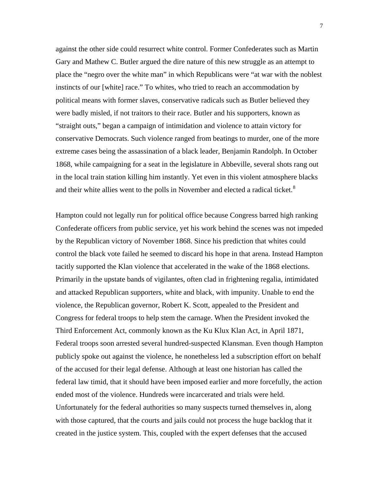against the other side could resurrect white control. Former Confederates such as Martin Gary and Mathew C. Butler argued the dire nature of this new struggle as an attempt to place the "negro over the white man" in which Republicans were "at war with the noblest instincts of our [white] race." To whites, who tried to reach an accommodation by political means with former slaves, conservative radicals such as Butler believed they were badly misled, if not traitors to their race. Butler and his supporters, known as "straight outs," began a campaign of intimidation and violence to attain victory for conservative Democrats. Such violence ranged from beatings to murder, one of the more extreme cases being the assassination of a black leader, Benjamin Randolph. In October 1868, while campaigning for a seat in the legislature in Abbeville, several shots rang out in the local train station killing him instantly. Yet even in this violent atmosphere blacks and their white allies went to the polls in November and elected a radical ticket.<sup>[8](#page-14-1)</sup>

Hampton could not legally run for political office because Congress barred high ranking Confederate officers from public service, yet his work behind the scenes was not impeded by the Republican victory of November 1868. Since his prediction that whites could control the black vote failed he seemed to discard his hope in that arena. Instead Hampton tacitly supported the Klan violence that accelerated in the wake of the 1868 elections. Primarily in the upstate bands of vigilantes, often clad in frightening regalia, intimidated and attacked Republican supporters, white and black, with impunity. Unable to end the violence, the Republican governor, Robert K. Scott, appealed to the President and Congress for federal troops to help stem the carnage. When the President invoked the Third Enforcement Act, commonly known as the Ku Klux Klan Act, in April 1871, Federal troops soon arrested several hundred-suspected Klansman. Even though Hampton publicly spoke out against the violence, he nonetheless led a subscription effort on behalf of the accused for their legal defense. Although at least one historian has called the federal law timid, that it should have been imposed earlier and more forcefully, the action ended most of the violence. Hundreds were incarcerated and trials were held. Unfortunately for the federal authorities so many suspects turned themselves in, along with those captured, that the courts and jails could not process the huge backlog that it created in the justice system. This, coupled with the expert defenses that the accused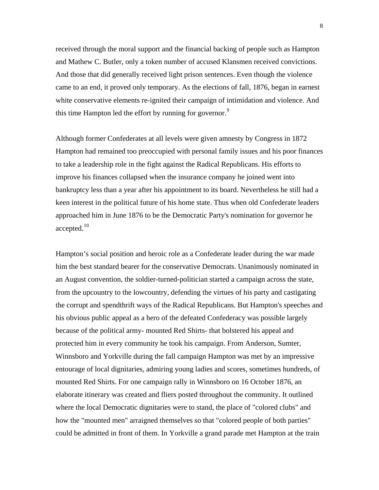received through the moral support and the financial backing of people such as Hampton and Mathew C. Butler, only a token number of accused Klansmen received convictions. And those that did generally received light prison sentences. Even though the violence came to an end, it proved only temporary. As the elections of fall, 1876, began in earnest white conservative elements re-ignited their campaign of intimidation and violence. And this time Hampton led the effort by running for governor.<sup>[9](#page-14-1)</sup>

Although former Confederates at all levels were given amnesty by Congress in 1872 Hampton had remained too preoccupied with personal family issues and his poor finances to take a leadership role in the fight against the Radical Republicans. His efforts to improve his finances collapsed when the insurance company he joined went into bankruptcy less than a year after his appointment to its board. Nevertheless he still had a keen interest in the political future of his home state. Thus when old Confederate leaders approached him in June 1876 to be the Democratic Party's nomination for governor he accepted.[10](#page-14-1)

Hampton's social position and heroic role as a Confederate leader during the war made him the best standard bearer for the conservative Democrats. Unanimously nominated in an August convention, the soldier-turned-politician started a campaign across the state, from the upcountry to the lowcountry, defending the virtues of his party and castigating the corrupt and spendthrift ways of the Radical Republicans. But Hampton's speeches and his obvious public appeal as a hero of the defeated Confederacy was possible largely because of the political army- mounted Red Shirts- that bolstered his appeal and protected him in every community he took his campaign. From Anderson, Sumter, Winnsboro and Yorkville during the fall campaign Hampton was met by an impressive entourage of local dignitaries, admiring young ladies and scores, sometimes hundreds, of mounted Red Shirts. For one campaign rally in Winnsboro on 16 October 1876, an elaborate itinerary was created and fliers posted throughout the community. It outlined where the local Democratic dignitaries were to stand, the place of "colored clubs" and how the "mounted men" arraigned themselves so that "colored people of both parties" could be admitted in front of them. In Yorkville a grand parade met Hampton at the train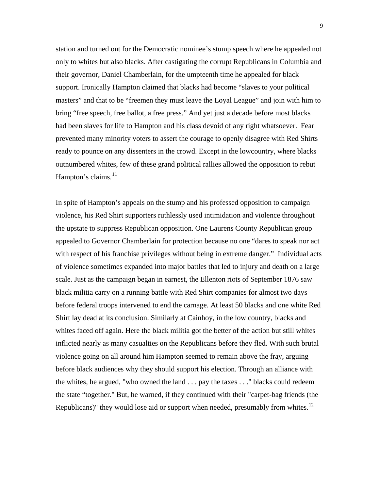station and turned out for the Democratic nominee's stump speech where he appealed not only to whites but also blacks. After castigating the corrupt Republicans in Columbia and their governor, Daniel Chamberlain, for the umpteenth time he appealed for black support. Ironically Hampton claimed that blacks had become "slaves to your political masters" and that to be "freemen they must leave the Loyal League" and join with him to bring "free speech, free ballot, a free press." And yet just a decade before most blacks had been slaves for life to Hampton and his class devoid of any right whatsoever. Fear prevented many minority voters to assert the courage to openly disagree with Red Shirts ready to pounce on any dissenters in the crowd. Except in the lowcountry, where blacks outnumbered whites, few of these grand political rallies allowed the opposition to rebut Hampton's claims.<sup>[11](#page-14-1)</sup>

In spite of Hampton's appeals on the stump and his professed opposition to campaign violence, his Red Shirt supporters ruthlessly used intimidation and violence throughout the upstate to suppress Republican opposition. One Laurens County Republican group appealed to Governor Chamberlain for protection because no one "dares to speak nor act with respect of his franchise privileges without being in extreme danger." Individual acts of violence sometimes expanded into major battles that led to injury and death on a large scale. Just as the campaign began in earnest, the Ellenton riots of September 1876 saw black militia carry on a running battle with Red Shirt companies for almost two days before federal troops intervened to end the carnage. At least 50 blacks and one white Red Shirt lay dead at its conclusion. Similarly at Cainhoy, in the low country, blacks and whites faced off again. Here the black militia got the better of the action but still whites inflicted nearly as many casualties on the Republicans before they fled. With such brutal violence going on all around him Hampton seemed to remain above the fray, arguing before black audiences why they should support his election. Through an alliance with the whites, he argued, "who owned the land . . . pay the taxes . . ." blacks could redeem the state "together." But, he warned, if they continued with their "carpet-bag friends (the Republicans)" they would lose aid or support when needed, presumably from whites.<sup>[12](#page-14-1)</sup>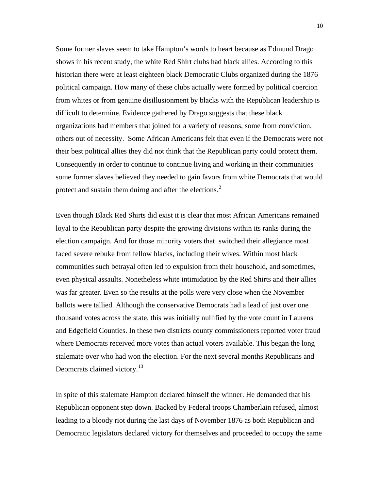Some former slaves seem to take Hampton's words to heart because as Edmund Drago shows in his recent study, the white Red Shirt clubs had black allies. According to this historian there were at least eighteen black Democratic Clubs organized during the 1876 political campaign. How many of these clubs actually were formed by political coercion from whites or from genuine disillusionment by blacks with the Republican leadership is difficult to determine. Evidence gathered by Drago suggests that these black organizations had members that joined for a variety of reasons, some from conviction, others out of necessity. Some African Americans felt that even if the Democrats were not their best political allies they did not think that the Republican party could protect them. Consequently in order to continue to continue living and working in their communities some former slaves believed they needed to gain favors from white Democrats that would protect and sustain them duirng and after the elections. $<sup>2</sup>$  $<sup>2</sup>$  $<sup>2</sup>$ </sup>

Even though Black Red Shirts did exist it is clear that most African Americans remained loyal to the Republican party despite the growing divisions within its ranks during the election campaign. And for those minority voters that switched their allegiance most faced severe rebuke from fellow blacks, including their wives. Within most black communities such betrayal often led to expulsion from their household, and sometimes, even physical assaults. Nonetheless white intimidation by the Red Shirts and their allies was far greater. Even so the results at the polls were very close when the November ballots were tallied. Although the conservative Democrats had a lead of just over one thousand votes across the state, this was initially nullified by the vote count in Laurens and Edgefield Counties. In these two districts county commissioners reported voter fraud where Democrats received more votes than actual voters available. This began the long stalemate over who had won the election. For the next several months Republicans and Deomcrats claimed victory.<sup>[13](#page-14-1)</sup>

In spite of this stalemate Hampton declared himself the winner. He demanded that his Republican opponent step down. Backed by Federal troops Chamberlain refused, almost leading to a bloody riot during the last days of November 1876 as both Republican and Democratic legislators declared victory for themselves and proceeded to occupy the same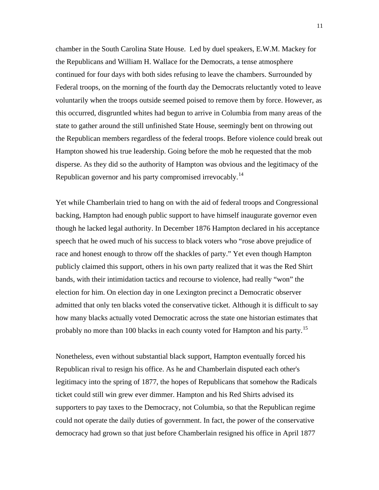chamber in the South Carolina State House. Led by duel speakers, E.W.M. Mackey for the Republicans and William H. Wallace for the Democrats, a tense atmosphere continued for four days with both sides refusing to leave the chambers. Surrounded by Federal troops, on the morning of the fourth day the Democrats reluctantly voted to leave voluntarily when the troops outside seemed poised to remove them by force. However, as this occurred, disgruntled whites had begun to arrive in Columbia from many areas of the state to gather around the still unfinished State House, seemingly bent on throwing out the Republican members regardless of the federal troops. Before violence could break out Hampton showed his true leadership. Going before the mob he requested that the mob disperse. As they did so the authority of Hampton was obvious and the legitimacy of the Republican governor and his party compromised irrevocably.[14](#page-15-0)

Yet while Chamberlain tried to hang on with the aid of federal troops and Congressional backing, Hampton had enough public support to have himself inaugurate governor even though he lacked legal authority. In December 1876 Hampton declared in his acceptance speech that he owed much of his success to black voters who "rose above prejudice of race and honest enough to throw off the shackles of party." Yet even though Hampton publicly claimed this support, others in his own party realized that it was the Red Shirt bands, with their intimidation tactics and recourse to violence, had really "won" the election for him. On election day in one Lexington precinct a Democratic observer admitted that only ten blacks voted the conservative ticket. Although it is difficult to say how many blacks actually voted Democratic across the state one historian estimates that probably no more than 100 blacks in each county voted for Hampton and his party.<sup>[15](#page-15-0)</sup>

Nonetheless, even without substantial black support, Hampton eventually forced his Republican rival to resign his office. As he and Chamberlain disputed each other's legitimacy into the spring of 1877, the hopes of Republicans that somehow the Radicals ticket could still win grew ever dimmer. Hampton and his Red Shirts advised its supporters to pay taxes to the Democracy, not Columbia, so that the Republican regime could not operate the daily duties of government. In fact, the power of the conservative democracy had grown so that just before Chamberlain resigned his office in April 1877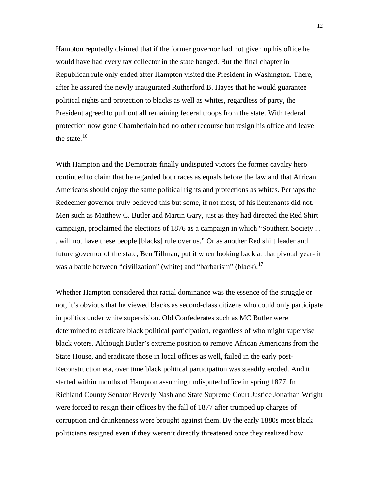Hampton reputedly claimed that if the former governor had not given up his office he would have had every tax collector in the state hanged. But the final chapter in Republican rule only ended after Hampton visited the President in Washington. There, after he assured the newly inaugurated Rutherford B. Hayes that he would guarantee political rights and protection to blacks as well as whites, regardless of party, the President agreed to pull out all remaining federal troops from the state. With federal protection now gone Chamberlain had no other recourse but resign his office and leave the state. $16$ 

With Hampton and the Democrats finally undisputed victors the former cavalry hero continued to claim that he regarded both races as equals before the law and that African Americans should enjoy the same political rights and protections as whites. Perhaps the Redeemer governor truly believed this but some, if not most, of his lieutenants did not. Men such as Matthew C. Butler and Martin Gary, just as they had directed the Red Shirt campaign, proclaimed the elections of 1876 as a campaign in which "Southern Society . . . will not have these people [blacks] rule over us." Or as another Red shirt leader and future governor of the state, Ben Tillman, put it when looking back at that pivotal year- it was a battle between "civilization" (white) and "barbarism" (black).<sup>[17](#page-15-0)</sup>

Whether Hampton considered that racial dominance was the essence of the struggle or not, it's obvious that he viewed blacks as second-class citizens who could only participate in politics under white supervision. Old Confederates such as MC Butler were determined to eradicate black political participation, regardless of who might supervise black voters. Although Butler's extreme position to remove African Americans from the State House, and eradicate those in local offices as well, failed in the early post-Reconstruction era, over time black political participation was steadily eroded. And it started within months of Hampton assuming undisputed office in spring 1877. In Richland County Senator Beverly Nash and State Supreme Court Justice Jonathan Wright were forced to resign their offices by the fall of 1877 after trumped up charges of corruption and drunkenness were brought against them. By the early 1880s most black politicians resigned even if they weren't directly threatened once they realized how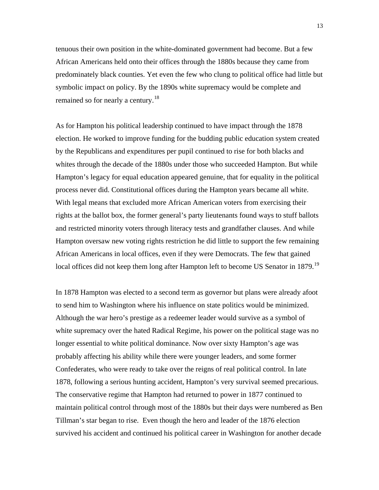tenuous their own position in the white-dominated government had become. But a few African Americans held onto their offices through the 1880s because they came from predominately black counties. Yet even the few who clung to political office had little but symbolic impact on policy. By the 1890s white supremacy would be complete and remained so for nearly a century.<sup>[18](#page-15-0)</sup>

As for Hampton his political leadership continued to have impact through the 1878 election. He worked to improve funding for the budding public education system created by the Republicans and expenditures per pupil continued to rise for both blacks and whites through the decade of the 1880s under those who succeeded Hampton. But while Hampton's legacy for equal education appeared genuine, that for equality in the political process never did. Constitutional offices during the Hampton years became all white. With legal means that excluded more African American voters from exercising their rights at the ballot box, the former general's party lieutenants found ways to stuff ballots and restricted minority voters through literacy tests and grandfather clauses. And while Hampton oversaw new voting rights restriction he did little to support the few remaining African Americans in local offices, even if they were Democrats. The few that gained local offices did not keep them long after Hampton left to become US Senator in 1879.<sup>[19](#page-15-0)</sup>

In 1878 Hampton was elected to a second term as governor but plans were already afoot to send him to Washington where his influence on state politics would be minimized. Although the war hero's prestige as a redeemer leader would survive as a symbol of white supremacy over the hated Radical Regime, his power on the political stage was no longer essential to white political dominance. Now over sixty Hampton's age was probably affecting his ability while there were younger leaders, and some former Confederates, who were ready to take over the reigns of real political control. In late 1878, following a serious hunting accident, Hampton's very survival seemed precarious. The conservative regime that Hampton had returned to power in 1877 continued to maintain political control through most of the 1880s but their days were numbered as Ben Tillman's star began to rise. Even though the hero and leader of the 1876 election survived his accident and continued his political career in Washington for another decade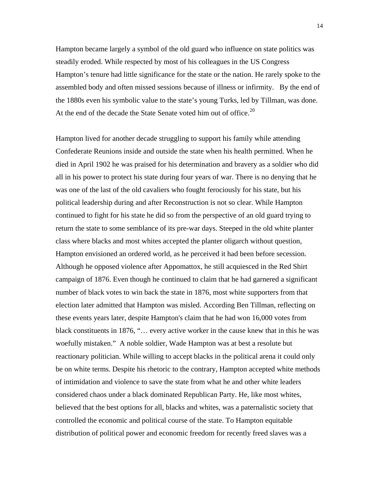Hampton became largely a symbol of the old guard who influence on state politics was steadily eroded. While respected by most of his colleagues in the US Congress Hampton's tenure had little significance for the state or the nation. He rarely spoke to the assembled body and often missed sessions because of illness or infirmity. By the end of the 1880s even his symbolic value to the state's young Turks, led by Tillman, was done. At the end of the decade the State Senate voted him out of office.<sup>[20](#page-15-0)</sup>

Hampton lived for another decade struggling to support his family while attending Confederate Reunions inside and outside the state when his health permitted. When he died in April 1902 he was praised for his determination and bravery as a soldier who did all in his power to protect his state during four years of war. There is no denying that he was one of the last of the old cavaliers who fought ferociously for his state, but his political leadership during and after Reconstruction is not so clear. While Hampton continued to fight for his state he did so from the perspective of an old guard trying to return the state to some semblance of its pre-war days. Steeped in the old white planter class where blacks and most whites accepted the planter oligarch without question, Hampton envisioned an ordered world, as he perceived it had been before secession. Although he opposed violence after Appomattox, he still acquiesced in the Red Shirt campaign of 1876. Even though he continued to claim that he had garnered a significant number of black votes to win back the state in 1876, most white supporters from that election later admitted that Hampton was misled. According Ben Tillman, reflecting on these events years later, despite Hampton's claim that he had won 16,000 votes from black constituents in 1876, "… every active worker in the cause knew that in this he was woefully mistaken." A noble soldier, Wade Hampton was at best a resolute but reactionary politician. While willing to accept blacks in the political arena it could only be on white terms. Despite his rhetoric to the contrary, Hampton accepted white methods of intimidation and violence to save the state from what he and other white leaders considered chaos under a black dominated Republican Party. He, like most whites, believed that the best options for all, blacks and whites, was a paternalistic society that controlled the economic and political course of the state. To Hampton equitable distribution of political power and economic freedom for recently freed slaves was a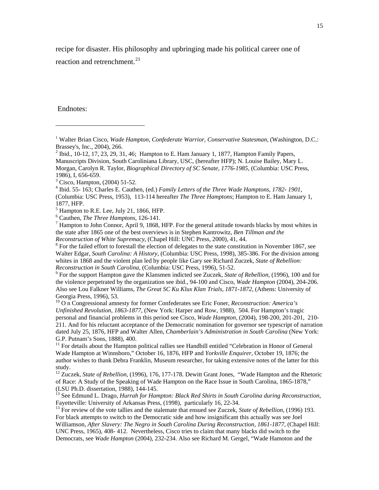<span id="page-14-1"></span>recipe for disaster. His philosophy and upbringing made his political career one of

reaction and retrenchment. $^{21}$  $^{21}$  $^{21}$ 

Endnotes:

 $\overline{a}$ 

<span id="page-14-0"></span><sup>&</sup>lt;sup>1</sup> Walter Brian Cisco, *Wade Hampton, Confederate Warrior, Conservative Statesman*, (Washington, D.C.: Brassey's, Inc., 2004), 266.

<sup>&</sup>lt;sup>2</sup> Ibid., 10-12, 17, 23, 29, 31, 46; Hampton to E. Ham January 1, 1877, Hampton Family Papers, Manuscripts Division, South Caroliniana Library, USC, (hereafter HFP); N. Louise Bailey, Mary L. Morgan, Carolyn R. Taylor, *Biographical Directory of SC Senate, 1776-1985*, (Columbia: USC Press, 1986), I, 656-659.

<sup>3</sup> Cisco, Hampton, (2004) 51-52.

<sup>4</sup> Ibid. 55- 163; Charles E. Cauthen, (ed.) *Family Letters of the Three Wade Hamptons*, *1782- 1901*, (Columbia: USC Press, 1953), 113-114 hereafter *The Three Hamptons*; Hampton to E. Ham January 1, 1877, HFP.

 $<sup>5</sup>$  Hampton to R.E. Lee, July 21, 1866, HFP.</sup>

<sup>&</sup>lt;sup>6</sup> Cauthen, *The Three Hamptons*, 126-141.

 $<sup>7</sup>$  Hampton to John Connor, April 9, 1868, HFP. For the general attitude towards blacks by most whites in</sup> the state after 1865 one of the best overviews is in Stephen Kantrowitz, *Ben Tillman and the Reconstruction of White Supremacy*, (Chapel Hill: UNC Press, 2000), 41, 44.

 $8$  For the failed effort to forestall the election of delegates to the state constitution in November 1867, see Walter Edgar, *South Carolina: A History*, (Columbia: USC Press, 1998), 385-386. For the division among whites in 1868 and the violent plan led by people like Gary see Richard Zuczek, *State of Rebellion: Reconstruction in South Carolina*, (Columbia: USC Press, 1996), 51-52. 9

For the support Hampton gave the Klansmen indicted see Zuczek, *State of Rebellion*, (1996), 100 and for the violence perpetrated by the organization see ibid., 94-100 and Cisco, *Wade Hampton* (2004), 204-206. Also see Lou Falkner Williams, *The Great SC Ku Klux Klan Trials, 1871-1872*, (Athens: University of Georgia Press, 1996), 53.

<sup>10</sup> O n Congressional amnesty for former Confederates see Eric Foner, *Reconstruction: America's Unfinished Revolution, 1863-1877*, (New York: Harper and Row, 1988), 504. For Hampton's tragic personal and financial problems in this period see Cisco, *Wade Hampton*, (2004), 198-200, 201-201, 210- 211. And for his reluctant acceptance of the Democratic nomination for governor see typescript of narration dated July 25, 1876, HFP and Walter Allen, *Chamberlain's Administration in South Carolina* (New York: G.P. Putnam's Sons, 1888), 400.

 $11$  For details about the Hampton political rallies see Handbill entitled "Celebration in Honor of General Wade Hampton at Winnsboro," October 16, 1876, HFP and *Yorkville Enquirer*, October 19, 1876; the author wishes to thank Debra Franklin, Museum researcher, for taking extensive notes of the latter for this study.

<sup>&</sup>lt;sup>12</sup> Zuczek, *State of Rebellion*, (1996), 176, 177-178. Dewitt Grant Jones, "Wade Hampton and the Rhetoric of Race: A Study of the Speaking of Wade Hampton on the Race Issue in South Carolina, 1865-1878," (LSU Ph.D. dissertation, 1988), 144-145.

<sup>13</sup> See Edmund L. Drago, *Hurrah for Hampton: Black Red Shirts in South Carolina during Reconstruction*,<br>Fayetteville: University of Arkansas Press, (1998), particularly 16, 22-34.

<sup>&</sup>lt;sup>13</sup> For review of the vote tallies and the stalemate that ensued see Zuczek, *State of Rebellion*, (1996) 193. For black attempts to switch to the Democratic side and how insignificant this actually was see Joel Williamson, *After Slavery: The Negro in South Carolina During Reconstruction, 1861-1877,* (Chapel Hill: UNC Press, 1965), 408- 412. Nevertheless, Cisco tries to claim that many blacks did switch to the Democrats, see *Wade Hampton* (2004), 232-234. Also see Richard M. Gergel, "Wade Hamoton and the